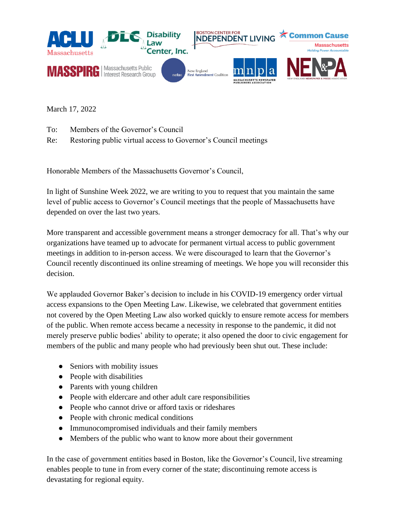

March 17, 2022

To: Members of the Governor's Council

Re: Restoring public virtual access to Governor's Council meetings

Honorable Members of the Massachusetts Governor's Council,

In light of Sunshine Week 2022, we are writing to you to request that you maintain the same level of public access to Governor's Council meetings that the people of Massachusetts have depended on over the last two years.

More transparent and accessible government means a stronger democracy for all. That's why our organizations have teamed up to advocate for permanent virtual access to public government meetings in addition to in-person access. We were discouraged to learn that the Governor's Council recently discontinued its online streaming of meetings. We hope you will reconsider this decision.

We applauded Governor Baker's decision to include in his COVID-19 emergency order virtual access expansions to the Open Meeting Law. Likewise, we celebrated that government entities not covered by the Open Meeting Law also worked quickly to ensure remote access for members of the public. When remote access became a necessity in response to the pandemic, it did not merely preserve public bodies' ability to operate; it also opened the door to civic engagement for members of the public and many people who had previously been shut out. These include:

- Seniors with mobility issues
- People with disabilities
- Parents with young children
- People with eldercare and other adult care responsibilities
- People who cannot drive or afford taxis or rideshares
- People with chronic medical conditions
- Immunocompromised individuals and their family members
- Members of the public who want to know more about their government

In the case of government entities based in Boston, like the Governor's Council, live streaming enables people to tune in from every corner of the state; discontinuing remote access is devastating for regional equity.